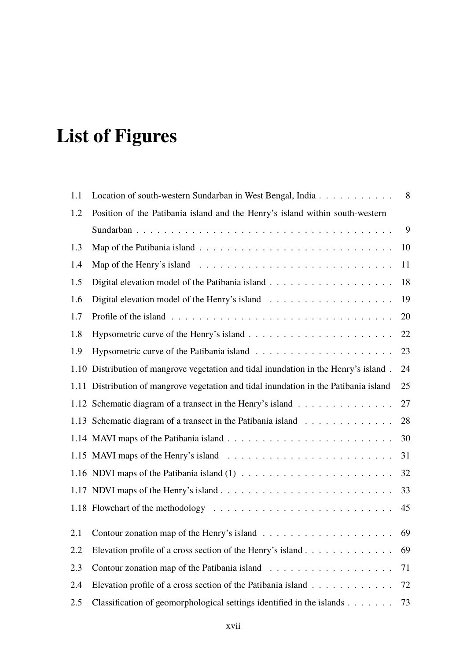## **List of Figures**

| 1.1  | Location of south-western Sundarban in West Bengal, India                             | 8  |
|------|---------------------------------------------------------------------------------------|----|
| 1.2  | Position of the Patibania island and the Henry's island within south-western          |    |
|      |                                                                                       | 9  |
| 1.3  |                                                                                       | 10 |
| 1.4  |                                                                                       | 11 |
| 1.5  |                                                                                       | 18 |
| 1.6  |                                                                                       | 19 |
| 1.7  |                                                                                       | 20 |
| 1.8  |                                                                                       | 22 |
| 1.9  |                                                                                       | 23 |
| 1.10 | Distribution of mangrove vegetation and tidal inundation in the Henry's island.       | 24 |
|      | 1.11 Distribution of mangrove vegetation and tidal inundation in the Patibania island | 25 |
|      | 1.12 Schematic diagram of a transect in the Henry's island                            | 27 |
|      | 1.13 Schematic diagram of a transect in the Patibania island                          | 28 |
|      |                                                                                       | 30 |
|      |                                                                                       | 31 |
|      |                                                                                       | 32 |
|      |                                                                                       | 33 |
|      |                                                                                       | 45 |
| 2.1  |                                                                                       | 69 |
| 2.2  | Elevation profile of a cross section of the Henry's island                            | 69 |
| 2.3  |                                                                                       | 71 |
| 2.4  | Elevation profile of a cross section of the Patibania island                          | 72 |
| 2.5  | Classification of geomorphological settings identified in the islands                 | 73 |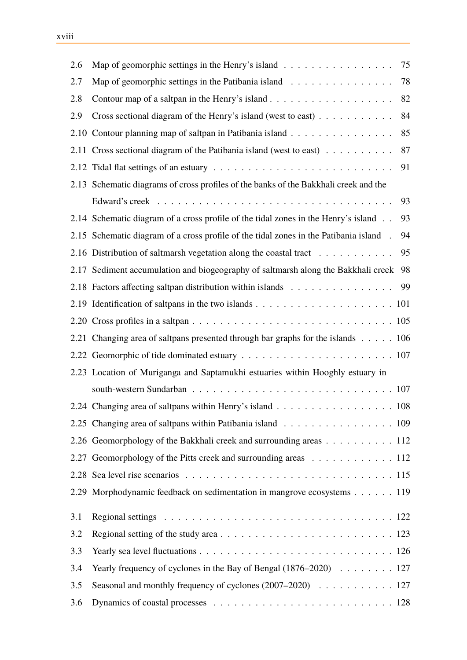| 2.6  | Map of geomorphic settings in the Henry's island                                      | 75 |
|------|---------------------------------------------------------------------------------------|----|
| 2.7  | Map of geomorphic settings in the Patibania island                                    | 78 |
| 2.8  |                                                                                       | 82 |
| 2.9  | Cross sectional diagram of the Henry's island (west to east) $\dots \dots \dots$      | 84 |
| 2.10 | Contour planning map of saltpan in Patibania island                                   | 85 |
| 2.11 | Cross sectional diagram of the Patibania island (west to east)                        | 87 |
|      |                                                                                       | 91 |
|      | 2.13 Schematic diagrams of cross profiles of the banks of the Bakkhali creek and the  |    |
|      |                                                                                       | 93 |
|      | 2.14 Schematic diagram of a cross profile of the tidal zones in the Henry's island    | 93 |
|      | 2.15 Schematic diagram of a cross profile of the tidal zones in the Patibania island. | 94 |
|      | 2.16 Distribution of saltmarsh vegetation along the coastal tract                     | 95 |
|      | 2.17 Sediment accumulation and biogeography of saltmarsh along the Bakkhali creek     | 98 |
|      | 2.18 Factors affecting saltpan distribution within islands                            | 99 |
|      |                                                                                       |    |
|      |                                                                                       |    |
|      | 2.21 Changing area of saltpans presented through bar graphs for the islands 106       |    |
|      |                                                                                       |    |
|      | 2.23 Location of Muriganga and Saptamukhi estuaries within Hooghly estuary in         |    |
|      |                                                                                       |    |
|      | 2.24 Changing area of saltpans within Henry's island 108                              |    |
|      | 2.25 Changing area of saltpans within Patibania island 109                            |    |
|      | 2.26 Geomorphology of the Bakkhali creek and surrounding areas 112                    |    |
|      | 2.27 Geomorphology of the Pitts creek and surrounding areas 112                       |    |
|      |                                                                                       |    |
|      | 2.29 Morphodynamic feedback on sedimentation in mangrove ecosystems 119               |    |
| 3.1  |                                                                                       |    |
| 3.2  |                                                                                       |    |
| 3.3  |                                                                                       |    |
| 3.4  |                                                                                       |    |
| 3.5  |                                                                                       |    |
| 3.6  |                                                                                       |    |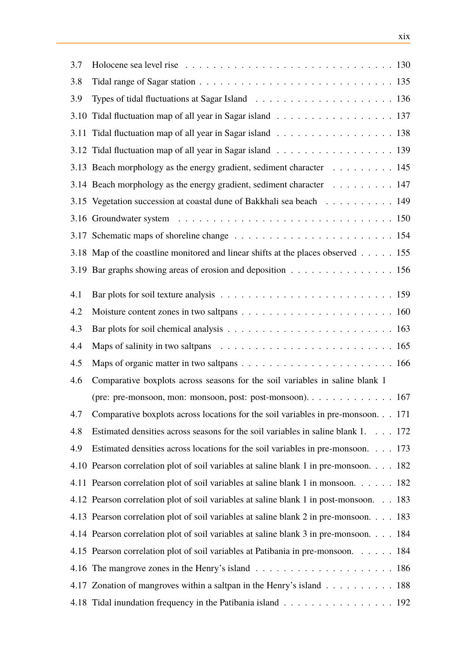| 3.7  |                                                                                        |
|------|----------------------------------------------------------------------------------------|
| 3.8  |                                                                                        |
| 3.9  |                                                                                        |
| 3.10 | Tidal fluctuation map of all year in Sagar island 137                                  |
| 3.11 | Tidal fluctuation map of all year in Sagar island 138                                  |
|      | 3.12 Tidal fluctuation map of all year in Sagar island 139                             |
|      | 3.13 Beach morphology as the energy gradient, sediment character 145                   |
|      | 3.14 Beach morphology as the energy gradient, sediment character 147                   |
|      | 3.15 Vegetation succession at coastal dune of Bakkhali sea beach 149                   |
|      |                                                                                        |
|      |                                                                                        |
|      | 3.18 Map of the coastline monitored and linear shifts at the places observed 155       |
|      | 3.19 Bar graphs showing areas of erosion and deposition 156                            |
| 4.1  |                                                                                        |
| 4.2  |                                                                                        |
| 4.3  |                                                                                        |
| 4.4  |                                                                                        |
| 4.5  |                                                                                        |
| 4.6  | Comparative boxplots across seasons for the soil variables in saline blank 1           |
|      | (pre: pre-monsoon, mon: monsoon, post: post-monsoon). 167                              |
| 4.7  | Comparative boxplots across locations for the soil variables in pre-monsoon. 171       |
| 4.8  | Estimated densities across seasons for the soil variables in saline blank 1. 172       |
| 4.9  | Estimated densities across locations for the soil variables in pre-monsoon. 173        |
|      | 4.10 Pearson correlation plot of soil variables at saline blank 1 in pre-monsoon. 182  |
|      | 4.11 Pearson correlation plot of soil variables at saline blank 1 in monsoon. 182      |
|      | 4.12 Pearson correlation plot of soil variables at saline blank 1 in post-monsoon. 183 |
|      | 4.13 Pearson correlation plot of soil variables at saline blank 2 in pre-monsoon. 183  |
|      | 4.14 Pearson correlation plot of soil variables at saline blank 3 in pre-monsoon. 184  |
|      | 4.15 Pearson correlation plot of soil variables at Patibania in pre-monsoon. 184       |
|      |                                                                                        |
|      | 4.17 Zonation of mangroves within a saltpan in the Henry's island 188                  |
|      | 4.18 Tidal inundation frequency in the Patibania island 192                            |
|      |                                                                                        |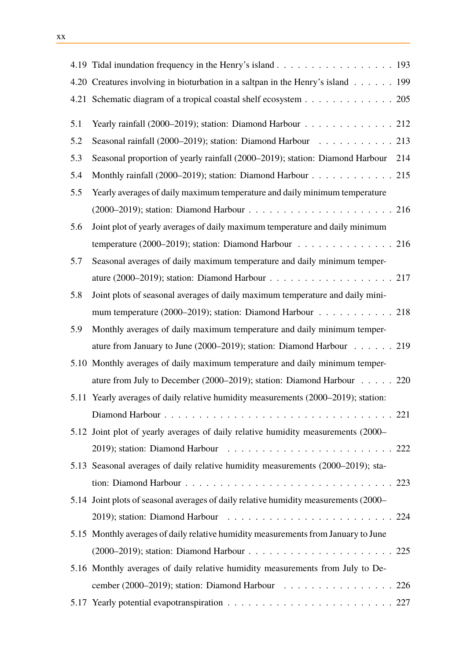|      | 4.19 Tidal inundation frequency in the Henry's island 193                                 |  |
|------|-------------------------------------------------------------------------------------------|--|
|      | 4.20 Creatures involving in bioturbation in a saltpan in the Henry's island 199           |  |
|      | 4.21 Schematic diagram of a tropical coastal shelf ecosystem 205                          |  |
| 5.1  | Yearly rainfall (2000–2019); station: Diamond Harbour 212                                 |  |
| 5.2  | Seasonal rainfall (2000–2019); station: Diamond Harbour $\ldots \ldots \ldots \ldots$ 213 |  |
| 5.3  | Seasonal proportion of yearly rainfall (2000–2019); station: Diamond Harbour 214          |  |
| 5.4  | Monthly rainfall (2000–2019); station: Diamond Harbour 215                                |  |
| 5.5  | Yearly averages of daily maximum temperature and daily minimum temperature                |  |
|      |                                                                                           |  |
| 5.6  | Joint plot of yearly averages of daily maximum temperature and daily minimum              |  |
|      | temperature (2000–2019); station: Diamond Harbour 216                                     |  |
| 5.7  | Seasonal averages of daily maximum temperature and daily minimum temper-                  |  |
|      | ature (2000–2019); station: Diamond Harbour 217                                           |  |
| 5.8  | Joint plots of seasonal averages of daily maximum temperature and daily mini-             |  |
|      | mum temperature (2000–2019); station: Diamond Harbour $\ldots \ldots \ldots \ldots$ . 218 |  |
| 5.9  | Monthly averages of daily maximum temperature and daily minimum temper-                   |  |
|      | ature from January to June (2000–2019); station: Diamond Harbour $\ldots \ldots$ . 219    |  |
| 5.10 | Monthly averages of daily maximum temperature and daily minimum temper-                   |  |
|      | ature from July to December (2000–2019); station: Diamond Harbour $\ldots \ldots$ 220     |  |
| 5.11 | Yearly averages of daily relative humidity measurements (2000–2019); station:             |  |
|      |                                                                                           |  |
|      | 5.12 Joint plot of yearly averages of daily relative humidity measurements (2000–         |  |
|      |                                                                                           |  |
|      | 5.13 Seasonal averages of daily relative humidity measurements (2000–2019); sta-          |  |
|      |                                                                                           |  |
|      | 5.14 Joint plots of seasonal averages of daily relative humidity measurements (2000–      |  |
|      |                                                                                           |  |
|      | 5.15 Monthly averages of daily relative humidity measurements from January to June        |  |
|      |                                                                                           |  |
|      | 5.16 Monthly averages of daily relative humidity measurements from July to De-            |  |
|      | cember (2000–2019); station: Diamond Harbour 226                                          |  |
|      |                                                                                           |  |